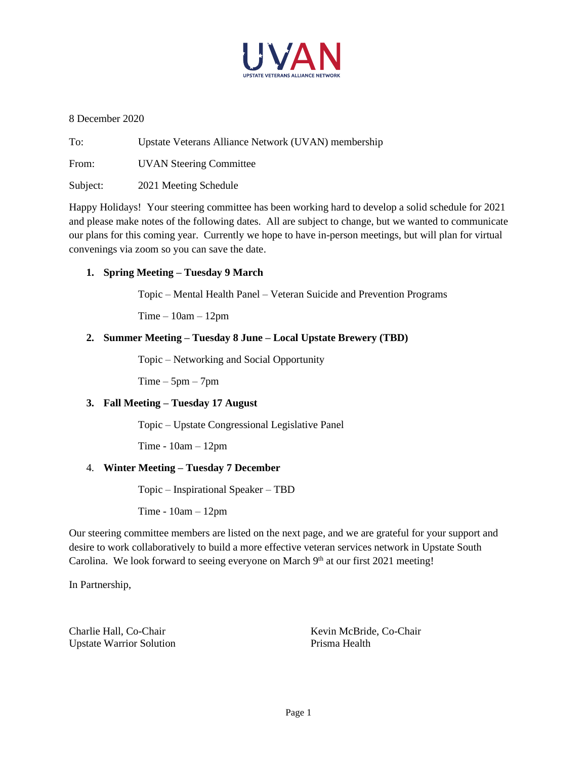

8 December 2020

To: Upstate Veterans Alliance Network (UVAN) membership

From: UVAN Steering Committee

Subject: 2021 Meeting Schedule

Happy Holidays! Your steering committee has been working hard to develop a solid schedule for 2021 and please make notes of the following dates. All are subject to change, but we wanted to communicate our plans for this coming year. Currently we hope to have in-person meetings, but will plan for virtual convenings via zoom so you can save the date.

# **1. Spring Meeting – Tuesday 9 March**

Topic – Mental Health Panel – Veteran Suicide and Prevention Programs

 $Time - 10am - 12pm$ 

# **2. Summer Meeting – Tuesday 8 June – Local Upstate Brewery (TBD)**

Topic – Networking and Social Opportunity

 $Time - 5pm - 7pm$ 

### **3. Fall Meeting – Tuesday 17 August**

Topic – Upstate Congressional Legislative Panel

Time - 10am – 12pm

### 4. **Winter Meeting – Tuesday 7 December**

Topic – Inspirational Speaker – TBD

Time - 10am – 12pm

Our steering committee members are listed on the next page, and we are grateful for your support and desire to work collaboratively to build a more effective veteran services network in Upstate South Carolina. We look forward to seeing everyone on March 9<sup>th</sup> at our first 2021 meeting!

In Partnership,

Upstate Warrior Solution **Prisma Health** 

Charlie Hall, Co-Chair Kevin McBride, Co-Chair